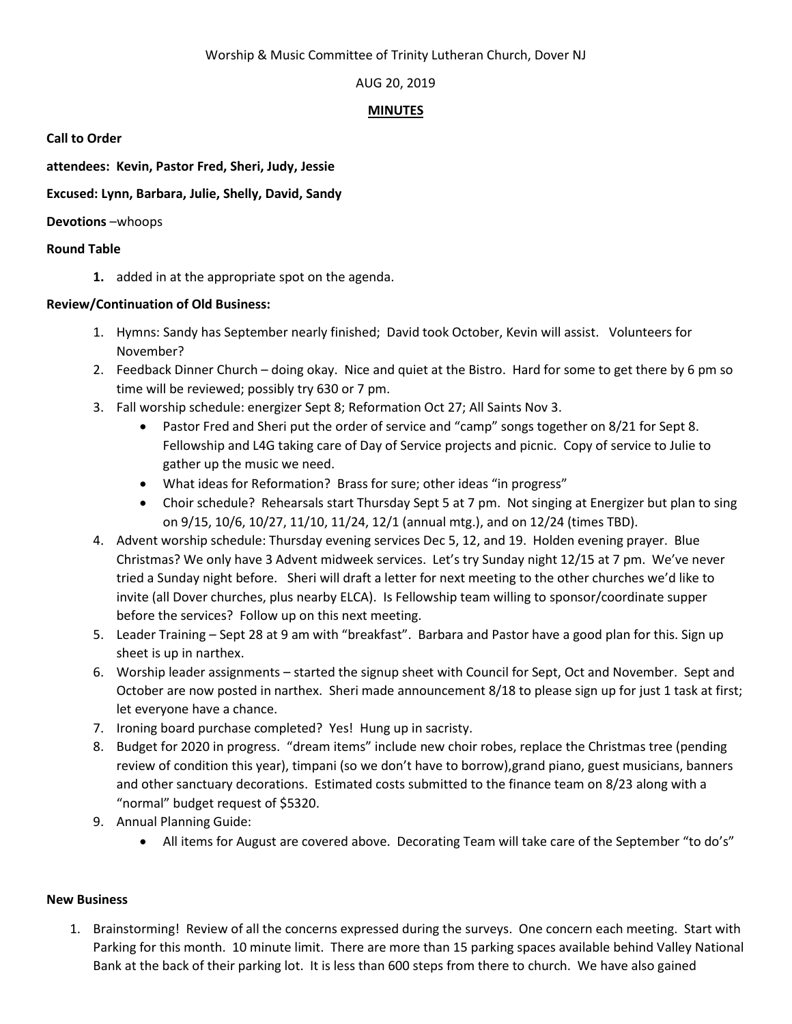# AUG 20, 2019

## **MINUTES**

**Call to Order**

**attendees: Kevin, Pastor Fred, Sheri, Judy, Jessie**

**Excused: Lynn, Barbara, Julie, Shelly, David, Sandy** 

**Devotions** –whoops

#### **Round Table**

**1.** added in at the appropriate spot on the agenda.

#### **Review/Continuation of Old Business:**

- 1. Hymns: Sandy has September nearly finished; David took October, Kevin will assist. Volunteers for November?
- 2. Feedback Dinner Church doing okay. Nice and quiet at the Bistro. Hard for some to get there by 6 pm so time will be reviewed; possibly try 630 or 7 pm.
- 3. Fall worship schedule: energizer Sept 8; Reformation Oct 27; All Saints Nov 3.
	- Pastor Fred and Sheri put the order of service and "camp" songs together on 8/21 for Sept 8. Fellowship and L4G taking care of Day of Service projects and picnic. Copy of service to Julie to gather up the music we need.
	- What ideas for Reformation? Brass for sure; other ideas "in progress"
	- Choir schedule? Rehearsals start Thursday Sept 5 at 7 pm. Not singing at Energizer but plan to sing on 9/15, 10/6, 10/27, 11/10, 11/24, 12/1 (annual mtg.), and on 12/24 (times TBD).
- 4. Advent worship schedule: Thursday evening services Dec 5, 12, and 19. Holden evening prayer. Blue Christmas? We only have 3 Advent midweek services. Let's try Sunday night 12/15 at 7 pm. We've never tried a Sunday night before. Sheri will draft a letter for next meeting to the other churches we'd like to invite (all Dover churches, plus nearby ELCA). Is Fellowship team willing to sponsor/coordinate supper before the services? Follow up on this next meeting.
- 5. Leader Training Sept 28 at 9 am with "breakfast". Barbara and Pastor have a good plan for this. Sign up sheet is up in narthex.
- 6. Worship leader assignments started the signup sheet with Council for Sept, Oct and November. Sept and October are now posted in narthex. Sheri made announcement 8/18 to please sign up for just 1 task at first; let everyone have a chance.
- 7. Ironing board purchase completed? Yes! Hung up in sacristy.
- 8. Budget for 2020 in progress. "dream items" include new choir robes, replace the Christmas tree (pending review of condition this year), timpani (so we don't have to borrow),grand piano, guest musicians, banners and other sanctuary decorations. Estimated costs submitted to the finance team on 8/23 along with a "normal" budget request of \$5320.
- 9. Annual Planning Guide:
	- All items for August are covered above. Decorating Team will take care of the September "to do's"

## **New Business**

1. Brainstorming! Review of all the concerns expressed during the surveys. One concern each meeting. Start with Parking for this month. 10 minute limit. There are more than 15 parking spaces available behind Valley National Bank at the back of their parking lot. It is less than 600 steps from there to church. We have also gained